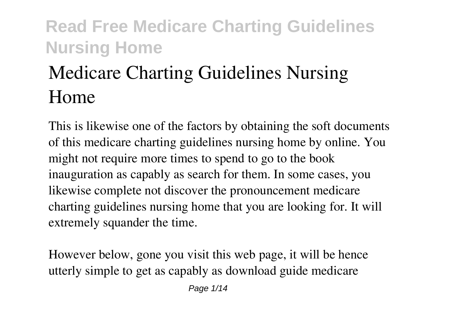# **Medicare Charting Guidelines Nursing Home**

This is likewise one of the factors by obtaining the soft documents of this **medicare charting guidelines nursing home** by online. You might not require more times to spend to go to the book inauguration as capably as search for them. In some cases, you likewise complete not discover the pronouncement medicare charting guidelines nursing home that you are looking for. It will extremely squander the time.

However below, gone you visit this web page, it will be hence utterly simple to get as capably as download guide medicare

Page 1/14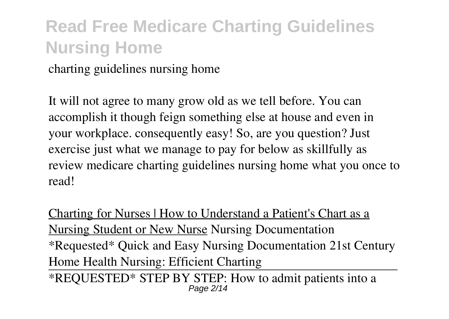charting guidelines nursing home

It will not agree to many grow old as we tell before. You can accomplish it though feign something else at house and even in your workplace. consequently easy! So, are you question? Just exercise just what we manage to pay for below as skillfully as review **medicare charting guidelines nursing home** what you once to read!

Charting for Nurses | How to Understand a Patient's Chart as a Nursing Student or New Nurse **Nursing Documentation** *\*Requested\* Quick and Easy Nursing Documentation 21st Century Home Health Nursing: Efficient Charting*

\*REQUESTED\* STEP BY STEP: How to admit patients into a Page 2/14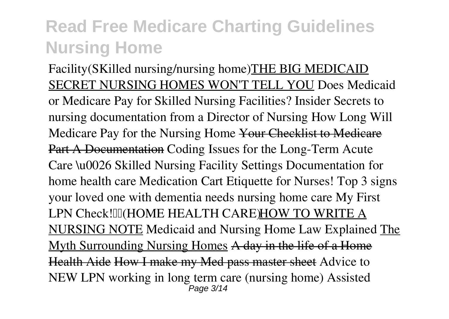Facility(SKilled nursing/nursing home)THE BIG MEDICAID SECRET NURSING HOMES WON'T TELL YOU *Does Medicaid or Medicare Pay for Skilled Nursing Facilities?* Insider Secrets to nursing documentation from a Director of Nursing *How Long Will Medicare Pay for the Nursing Home* Your Checklist to Medicare Part A Documentation Coding Issues for the Long-Term Acute Care \u0026 Skilled Nursing Facility Settings Documentation for home health care *Medication Cart Etiquette for Nurses! Top 3 signs your loved one with dementia needs nursing home care* My First LPN Check! III (HOME HEALTH CARE) HOW TO WRITE A NURSING NOTE *Medicaid and Nursing Home Law Explained* The Myth Surrounding Nursing Homes A day in the life of a Home Health Aide How I make my Med pass master sheet **Advice to NEW LPN working in long term care (nursing home)** *Assisted* Page 3/14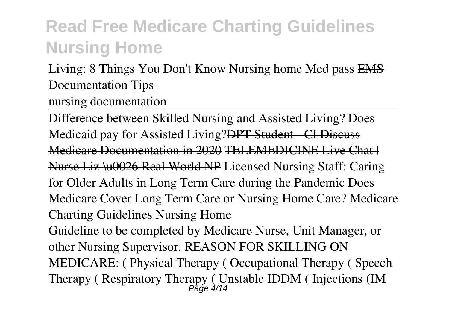*Living: 8 Things You Don't Know* **Nursing home Med pass** EMS Documentation Tips

nursing documentation

Difference between Skilled Nursing and Assisted Living? Does Medicaid pay for Assisted Living?<del>DPT Student CI Discuss</del> Medicare Documentation in 2020 TELEMEDICINE Live Chat H Nurse Liz \u0026 Real World NP Licensed Nursing Staff: Caring for Older Adults in Long Term Care during the Pandemic **Does Medicare Cover Long Term Care or Nursing Home Care? Medicare Charting Guidelines Nursing Home** Guideline to be completed by Medicare Nurse, Unit Manager, or other Nursing Supervisor. REASON FOR SKILLING ON MEDICARE: ( Physical Therapy ( Occupational Therapy ( Speech Therapy ( Respiratory Therapy ( Unstable IDDM ( Injections (IM  $_{P_0}^{P_0}$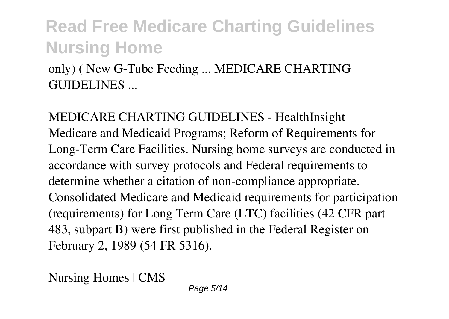only) ( New G-Tube Feeding ... MEDICARE CHARTING GUIDELINES ...

**MEDICARE CHARTING GUIDELINES - HealthInsight** Medicare and Medicaid Programs; Reform of Requirements for Long-Term Care Facilities. Nursing home surveys are conducted in accordance with survey protocols and Federal requirements to determine whether a citation of non-compliance appropriate. Consolidated Medicare and Medicaid requirements for participation (requirements) for Long Term Care (LTC) facilities (42 CFR part 483, subpart B) were first published in the Federal Register on February 2, 1989 (54 FR 5316).

**Nursing Homes | CMS**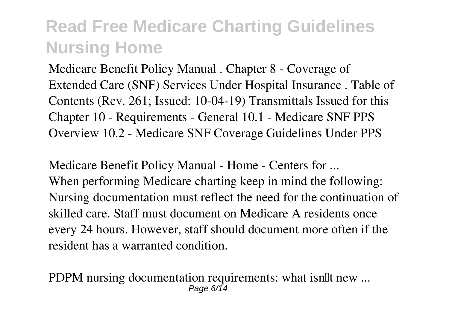Medicare Benefit Policy Manual . Chapter 8 - Coverage of Extended Care (SNF) Services Under Hospital Insurance . Table of Contents (Rev. 261; Issued: 10-04-19) Transmittals Issued for this Chapter 10 - Requirements - General 10.1 - Medicare SNF PPS Overview 10.2 - Medicare SNF Coverage Guidelines Under PPS

**Medicare Benefit Policy Manual - Home - Centers for ...** When performing Medicare charting keep in mind the following: Nursing documentation must reflect the need for the continuation of skilled care. Staff must document on Medicare A residents once every 24 hours. However, staff should document more often if the resident has a warranted condition.

**PDPM nursing documentation requirements: what isn<sup>th</sup> new ...** Page 6/14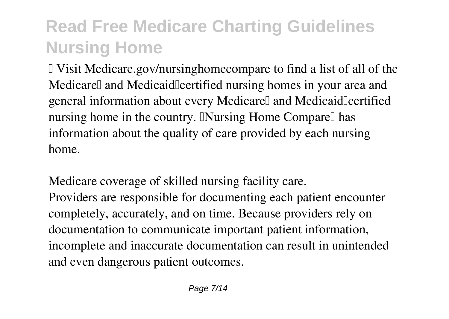■ Visit Medicare.gov/nursinghomecompare to find a list of all of the Medicarell and Medicaidle ertified nursing homes in your area and general information about every Medicarell and Medicaidlcertified nursing home in the country. INursing Home Comparell has information about the quality of care provided by each nursing home.

**Medicare coverage of skilled nursing facility care.** Providers are responsible for documenting each patient encounter completely, accurately, and on time. Because providers rely on documentation to communicate important patient information, incomplete and inaccurate documentation can result in unintended and even dangerous patient outcomes.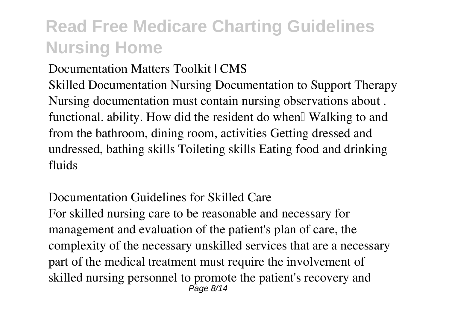#### **Documentation Matters Toolkit | CMS**

Skilled Documentation Nursing Documentation to Support Therapy Nursing documentation must contain nursing observations about . functional, ability. How did the resident do when  $\mathbb N$  alking to and from the bathroom, dining room, activities Getting dressed and undressed, bathing skills Toileting skills Eating food and drinking fluids

**Documentation Guidelines for Skilled Care** For skilled nursing care to be reasonable and necessary for management and evaluation of the patient's plan of care, the complexity of the necessary unskilled services that are a necessary part of the medical treatment must require the involvement of skilled nursing personnel to promote the patient's recovery and Page 8/14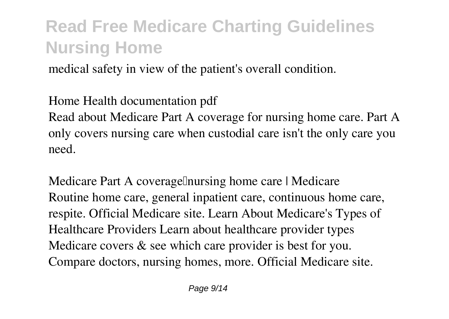medical safety in view of the patient's overall condition.

**Home Health documentation pdf**

Read about Medicare Part A coverage for nursing home care. Part A only covers nursing care when custodial care isn't the only care you need.

**Medicare Part A coverage nursing home care | Medicare** Routine home care, general inpatient care, continuous home care, respite. Official Medicare site. Learn About Medicare's Types of Healthcare Providers Learn about healthcare provider types Medicare covers & see which care provider is best for you. Compare doctors, nursing homes, more. Official Medicare site.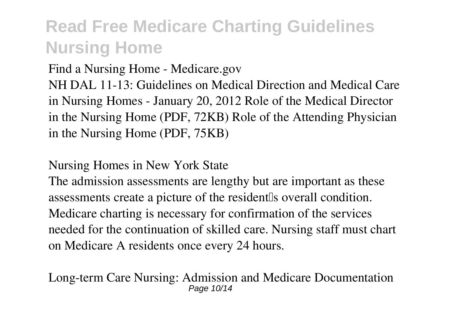**Find a Nursing Home - Medicare.gov**

NH DAL 11-13: Guidelines on Medical Direction and Medical Care in Nursing Homes - January 20, 2012 Role of the Medical Director in the Nursing Home (PDF, 72KB) Role of the Attending Physician in the Nursing Home (PDF, 75KB)

**Nursing Homes in New York State**

The admission assessments are lengthy but are important as these assessments create a picture of the resident soverall condition. Medicare charting is necessary for confirmation of the services needed for the continuation of skilled care. Nursing staff must chart on Medicare A residents once every 24 hours.

**Long-term Care Nursing: Admission and Medicare Documentation** Page 10/14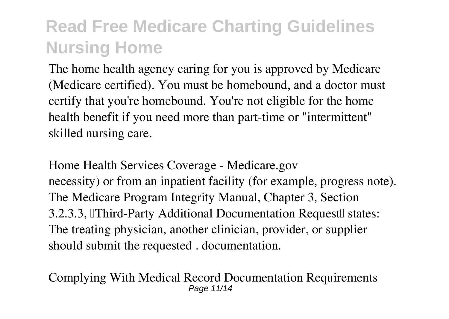The home health agency caring for you is approved by Medicare (Medicare certified). You must be homebound, and a doctor must certify that you're homebound. You're not eligible for the home health benefit if you need more than part-time or "intermittent" skilled nursing care.

**Home Health Services Coverage - Medicare.gov** necessity) or from an inpatient facility (for example, progress note). The Medicare Program Integrity Manual, Chapter 3, Section 3.2.3.3, Third-Party Additional Documentation Request<sup>[]</sup> states: The treating physician, another clinician, provider, or supplier should submit the requested . documentation.

**Complying With Medical Record Documentation Requirements** Page 11/14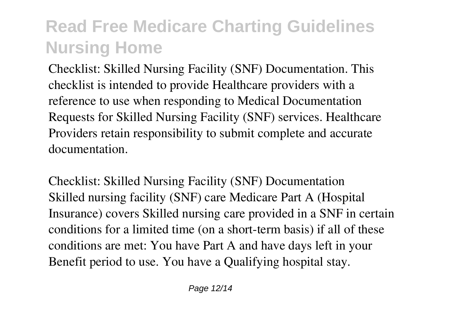Checklist: Skilled Nursing Facility (SNF) Documentation. This checklist is intended to provide Healthcare providers with a reference to use when responding to Medical Documentation Requests for Skilled Nursing Facility (SNF) services. Healthcare Providers retain responsibility to submit complete and accurate documentation.

**Checklist: Skilled Nursing Facility (SNF) Documentation** Skilled nursing facility (SNF) care Medicare Part A (Hospital Insurance) covers Skilled nursing care provided in a SNF in certain conditions for a limited time (on a short-term basis) if all of these conditions are met: You have Part A and have days left in your Benefit period to use. You have a Qualifying hospital stay.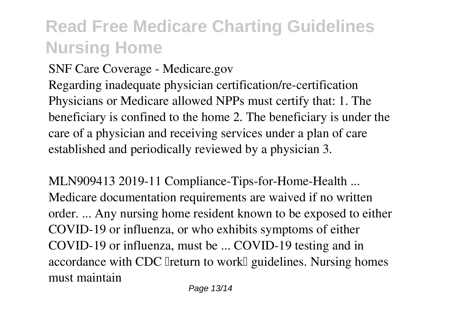**SNF Care Coverage - Medicare.gov**

Regarding inadequate physician certification/re-certification Physicians or Medicare allowed NPPs must certify that: 1. The beneficiary is confined to the home 2. The beneficiary is under the care of a physician and receiving services under a plan of care established and periodically reviewed by a physician 3.

**MLN909413 2019-11 Compliance-Tips-for-Home-Health ...** Medicare documentation requirements are waived if no written order. ... Any nursing home resident known to be exposed to either COVID-19 or influenza, or who exhibits symptoms of either COVID-19 or influenza, must be ... COVID-19 testing and in accordance with CDC Ireturn to work<sup>[]</sup> guidelines. Nursing homes must maintain